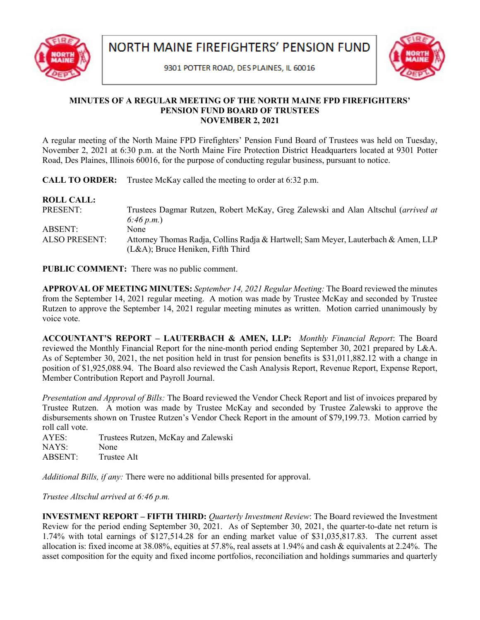

9301 POTTER ROAD, DES PLAINES, IL 60016



## **MINUTES OF A REGULAR MEETING OF THE NORTH MAINE FPD FIREFIGHTERS' PENSION FUND BOARD OF TRUSTEES NOVEMBER 2, 2021**

A regular meeting of the North Maine FPD Firefighters' Pension Fund Board of Trustees was held on Tuesday, November 2, 2021 at 6:30 p.m. at the North Maine Fire Protection District Headquarters located at 9301 Potter Road, Des Plaines, Illinois 60016, for the purpose of conducting regular business, pursuant to notice.

**CALL TO ORDER:** Trustee McKay called the meeting to order at 6:32 p.m.

| Trustees Dagmar Rutzen, Robert McKay, Greg Zalewski and Alan Altschul (arrived at                                          |
|----------------------------------------------------------------------------------------------------------------------------|
| 6:46 p.m.                                                                                                                  |
| None                                                                                                                       |
| Attorney Thomas Radja, Collins Radja & Hartwell; Sam Meyer, Lauterbach & Amen, LLP<br>$(L&A)$ ; Bruce Heniken, Fifth Third |
|                                                                                                                            |

**PUBLIC COMMENT:** There was no public comment.

**APPROVAL OF MEETING MINUTES:** *September 14, 2021 Regular Meeting:* The Board reviewed the minutes from the September 14, 2021 regular meeting. A motion was made by Trustee McKay and seconded by Trustee Rutzen to approve the September 14, 2021 regular meeting minutes as written. Motion carried unanimously by voice vote.

**ACCOUNTANT'S REPORT – LAUTERBACH & AMEN, LLP:** *Monthly Financial Report*: The Board reviewed the Monthly Financial Report for the nine-month period ending September 30, 2021 prepared by L&A. As of September 30, 2021, the net position held in trust for pension benefits is \$31,011,882.12 with a change in position of \$1,925,088.94. The Board also reviewed the Cash Analysis Report, Revenue Report, Expense Report, Member Contribution Report and Payroll Journal.

*Presentation and Approval of Bills:* The Board reviewed the Vendor Check Report and list of invoices prepared by Trustee Rutzen. A motion was made by Trustee McKay and seconded by Trustee Zalewski to approve the disbursements shown on Trustee Rutzen's Vendor Check Report in the amount of \$79,199.73. Motion carried by roll call vote.

AYES: Trustees Rutzen, McKay and Zalewski NAYS: None ABSENT: Trustee Alt

*Additional Bills, if any:* There were no additional bills presented for approval.

*Trustee Altschul arrived at 6:46 p.m.*

**INVESTMENT REPORT – FIFTH THIRD:** *Quarterly Investment Review*: The Board reviewed the Investment Review for the period ending September 30, 2021. As of September 30, 2021, the quarter-to-date net return is 1.74% with total earnings of \$127,514.28 for an ending market value of \$31,035,817.83. The current asset allocation is: fixed income at 38.08%, equities at 57.8%, real assets at 1.94% and cash & equivalents at 2.24%. The asset composition for the equity and fixed income portfolios, reconciliation and holdings summaries and quarterly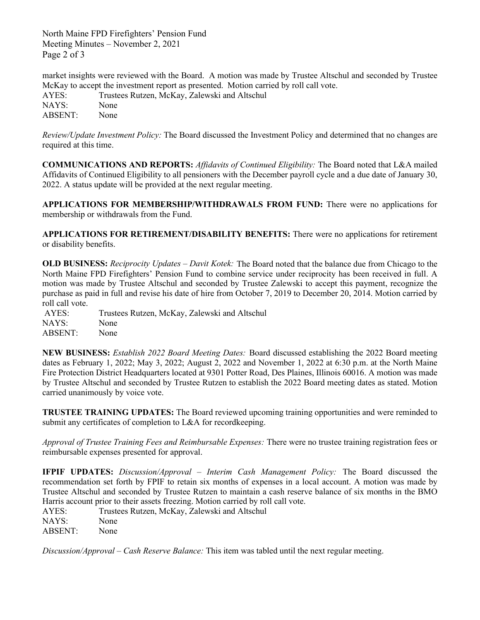North Maine FPD Firefighters' Pension Fund Meeting Minutes – November 2, 2021 Page 2 of 3

market insights were reviewed with the Board. A motion was made by Trustee Altschul and seconded by Trustee McKay to accept the investment report as presented. Motion carried by roll call vote.

AYES: Trustees Rutzen, McKay, Zalewski and Altschul NAYS: None ABSENT: None

*Review/Update Investment Policy:* The Board discussed the Investment Policy and determined that no changes are required at this time.

**COMMUNICATIONS AND REPORTS:** *Affidavits of Continued Eligibility:* The Board noted that L&A mailed Affidavits of Continued Eligibility to all pensioners with the December payroll cycle and a due date of January 30, 2022. A status update will be provided at the next regular meeting.

**APPLICATIONS FOR MEMBERSHIP/WITHDRAWALS FROM FUND:** There were no applications for membership or withdrawals from the Fund.

**APPLICATIONS FOR RETIREMENT/DISABILITY BENEFITS:** There were no applications for retirement or disability benefits.

**OLD BUSINESS:** *Reciprocity Updates – Davit Kotek:* The Board noted that the balance due from Chicago to the North Maine FPD Firefighters' Pension Fund to combine service under reciprocity has been received in full. A motion was made by Trustee Altschul and seconded by Trustee Zalewski to accept this payment, recognize the purchase as paid in full and revise his date of hire from October 7, 2019 to December 20, 2014. Motion carried by roll call vote.

AYES: Trustees Rutzen, McKay, Zalewski and Altschul NAYS: None ABSENT: None

**NEW BUSINESS:** *Establish 2022 Board Meeting Dates:* Board discussed establishing the 2022 Board meeting dates as February 1, 2022; May 3, 2022; August 2, 2022 and November 1, 2022 at 6:30 p.m. at the North Maine Fire Protection District Headquarters located at 9301 Potter Road, Des Plaines, Illinois 60016. A motion was made by Trustee Altschul and seconded by Trustee Rutzen to establish the 2022 Board meeting dates as stated. Motion carried unanimously by voice vote.

**TRUSTEE TRAINING UPDATES:** The Board reviewed upcoming training opportunities and were reminded to submit any certificates of completion to L&A for recordkeeping.

*Approval of Trustee Training Fees and Reimbursable Expenses:* There were no trustee training registration fees or reimbursable expenses presented for approval.

**IFPIF UPDATES:** *Discussion/Approval – Interim Cash Management Policy:* The Board discussed the recommendation set forth by FPIF to retain six months of expenses in a local account. A motion was made by Trustee Altschul and seconded by Trustee Rutzen to maintain a cash reserve balance of six months in the BMO Harris account prior to their assets freezing. Motion carried by roll call vote.

AYES: Trustees Rutzen, McKay, Zalewski and Altschul NAYS: None ABSENT: None

*Discussion/Approval – Cash Reserve Balance:* This item was tabled until the next regular meeting.